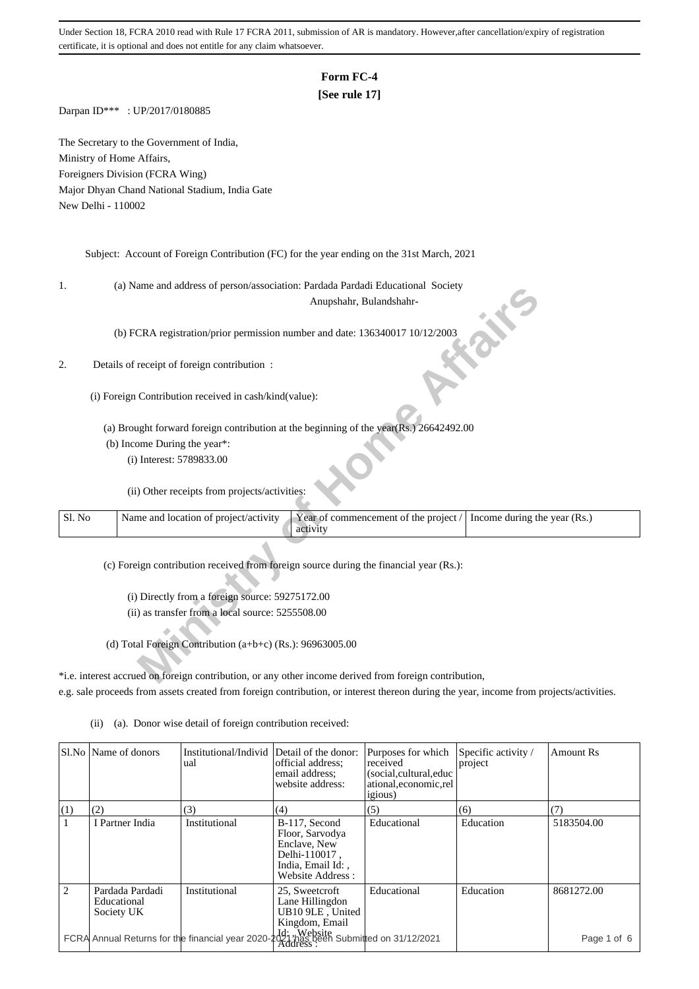# **Form FC-4**

## **[See rule 17]**

Darpan ID\*\*\* : UP/2017/0180885

The Secretary to the Government of India, Ministry of Home Affairs, Foreigners Division (FCRA Wing) Major Dhyan Chand National Stadium, India Gate New Delhi - 110002

Subject: Account of Foreign Contribution (FC) for the year ending on the 31st March, 2021

1. (a) Name and address of person/association: Pardada Pardadi Educational Society

## 2. Details of receipt of foreign contribution :

| ı.     | (a) ivalife and address of person/association. I algada I algadi Educational Society                                       |
|--------|----------------------------------------------------------------------------------------------------------------------------|
|        | Anupshahr, Bulandshahr-                                                                                                    |
|        | (b) FCRA registration/prior permission number and date: 136340017 10/12/2003                                               |
| 2.     | Details of receipt of foreign contribution :                                                                               |
|        | (i) Foreign Contribution received in cash/kind(value):                                                                     |
|        | (a) Brought forward foreign contribution at the beginning of the year(Rs.) 26642492.00                                     |
|        | (b) Income During the year*:                                                                                               |
|        | (i) Interest: 5789833.00                                                                                                   |
|        | (ii) Other receipts from projects/activities:                                                                              |
| Sl. No | Name and location of project/activity<br>Year of commencement of the project /<br>Income during the year (Rs.)<br>activity |
|        | (c) Foreign contribution received from foreign source during the financial year (Rs.):                                     |
|        |                                                                                                                            |
|        | (i) Directly from a foreign source: 59275172.00                                                                            |
|        |                                                                                                                            |
|        | (ii) as transfer from a local source: 5255508.00                                                                           |
|        |                                                                                                                            |
|        | (d) Total Foreign Contribution (a+b+c) (Rs.): 96963005.00                                                                  |
|        |                                                                                                                            |
|        | *i.e. interest accrued on foreign contribution, or any other income derived from foreign contribution,                     |

\*i.e. interest accrued on foreign contribution, or any other income derived from foreign contribution, e.g. sale proceeds from assets created from foreign contribution, or interest thereon during the year, income from projects/activities.

|     | Sl.No   Name of donors                                                                | Institutional/Individ<br>ual | Detail of the donor:<br>official address;<br>email address;<br>website address:                            | Purposes for which<br>received<br>(social, cultural, educ<br>ational, economic, rel<br><i>igious</i> ) | Specific activity /<br>project | <b>Amount Rs</b> |
|-----|---------------------------------------------------------------------------------------|------------------------------|------------------------------------------------------------------------------------------------------------|--------------------------------------------------------------------------------------------------------|--------------------------------|------------------|
| (1) | (2)                                                                                   | (3)                          | (4)                                                                                                        | (5)                                                                                                    | (6)                            | (7)              |
|     | I Partner India                                                                       | Institutional                | B-117, Second<br>Floor, Sarvodya<br>Enclave, New<br>Delhi-110017,<br>India, Email Id:,<br>Website Address: | Educational                                                                                            | Education                      | 5183504.00       |
| 2   | Pardada Pardadi<br>Educational<br>Society UK                                          | Institutional                | 25, Sweetcroft<br>Lane Hillingdon<br>UB10 9LE, United<br>Kingdom, Email                                    | Educational                                                                                            | Education                      | 8681272.00       |
|     | FCRA Annual Returns for the financial year 2020-2017 has been Submitted on 31/12/2021 |                              |                                                                                                            |                                                                                                        |                                | Page 1 of 6      |

(ii) (a). Donor wise detail of foreign contribution received: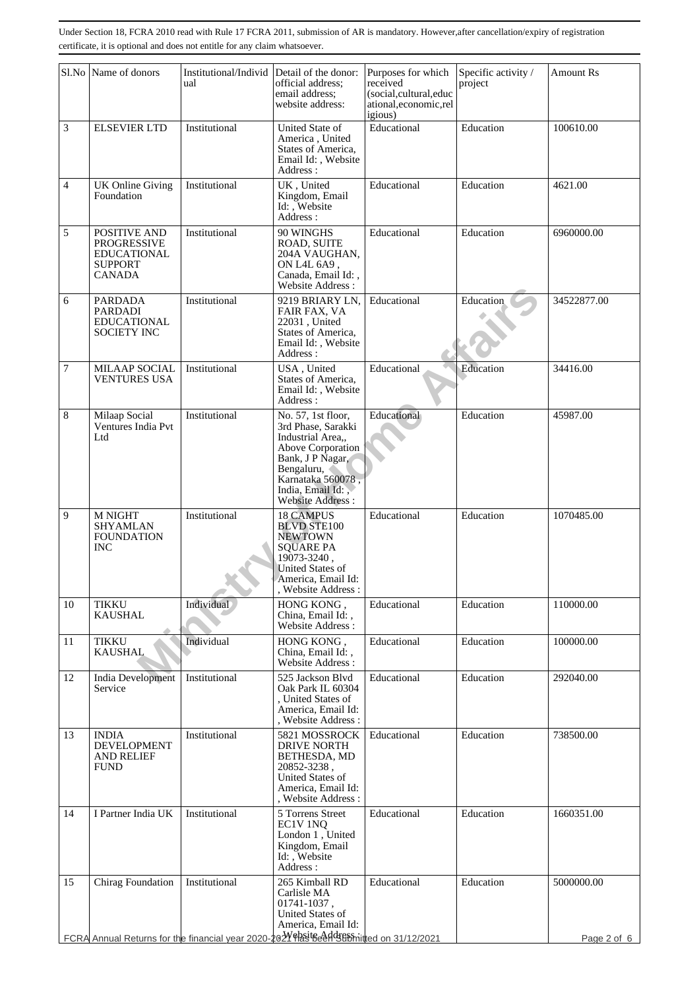|                | Sl.No Name of donors                                                                                        | Institutional/Individ<br>ual | Detail of the donor:<br>official address;<br>email address;<br>website address:                                                                                                           | Purposes for which<br>received<br>(social,cultural,educ<br>ational, economic, rel | Specific activity /<br>project | <b>Amount Rs</b>          |
|----------------|-------------------------------------------------------------------------------------------------------------|------------------------------|-------------------------------------------------------------------------------------------------------------------------------------------------------------------------------------------|-----------------------------------------------------------------------------------|--------------------------------|---------------------------|
| $\mathfrak{Z}$ | <b>ELSEVIER LTD</b>                                                                                         | Institutional                | United State of<br>America, United<br>States of America,<br>Email Id:, Website<br>Address:                                                                                                | igious)<br>Educational                                                            | Education                      | 100610.00                 |
| $\overline{4}$ | <b>UK</b> Online Giving<br>Foundation                                                                       | Institutional                | UK, United<br>Kingdom, Email<br>Id: , Website<br>Address:                                                                                                                                 | Educational                                                                       | Education                      | 4621.00                   |
| 5              | POSITIVE AND<br><b>PROGRESSIVE</b><br><b>EDUCATIONAL</b><br><b>SUPPORT</b><br><b>CANADA</b>                 | Institutional                | 90 WINGHS<br>ROAD, SUITE<br>204A VAUGHAN,<br>ON L4L 6A9,<br>Canada, Email Id:,<br>Website Address:                                                                                        | Educational                                                                       | Education                      | 6960000.00                |
| 6              | <b>PARDADA</b><br><b>PARDADI</b><br><b>EDUCATIONAL</b><br><b>SOCIETY INC</b>                                | Institutional                | 9219 BRIARY LN,<br>FAIR FAX, VA<br>22031, United<br>States of America,<br>Email Id:, Website<br>Address:                                                                                  | Educational                                                                       | Education                      | 34522877.00               |
| 7              | <b>MILAAP SOCIAL</b><br><b>VENTURES USA</b>                                                                 | Institutional                | USA, United<br>States of America,<br>Email Id:, Website<br>Address:                                                                                                                       | Educational                                                                       | Education                      | 34416.00                  |
| 8              | Milaap Social<br>Ventures India Pvt<br>Ltd                                                                  | Institutional                | No. 57, 1st floor,<br>3rd Phase, Sarakki<br>Industrial Area,,<br>Above Corporation<br>Bank, J P Nagar,<br>Bengaluru,<br>Karnataka 560078,<br>India, Email Id:,<br><b>Website Address:</b> | Educational                                                                       | Education                      | 45987.00                  |
| 9              | <b>M NIGHT</b><br><b>SHYAMLAN</b><br><b>FOUNDATION</b><br><b>INC</b>                                        | Institutional                | <b>18 CAMPUS</b><br><b>BLVD STE100</b><br><b>NEWTOWN</b><br><b>SQUARE PA</b><br>19073-3240,<br>United States of<br>America, Email Id:<br>, Website Address :                              | Educational                                                                       | Education                      | 1070485.00                |
| 10             | <b>TIKKU</b><br><b>KAUSHAL</b>                                                                              | Individual                   | HONG KONG.<br>China, Email Id:,<br>Website Address:                                                                                                                                       | Educational                                                                       | Education                      | 110000.00                 |
| 11             | <b>TIKKU</b><br><b>KAUSHAL</b>                                                                              | Individual                   | HONG KONG,<br>China, Email Id:,<br>Website Address:                                                                                                                                       | Educational                                                                       | Education                      | 100000.00                 |
| 12             | <b>India Development</b><br>Service                                                                         | Institutional                | 525 Jackson Blvd<br>Oak Park IL 60304<br>, United States of<br>America, Email Id:<br>, Website Address:                                                                                   | Educational                                                                       | Education                      | 292040.00                 |
| 13             | <b>INDIA</b><br><b>DEVELOPMENT</b><br><b>AND RELIEF</b><br>FUND                                             | Institutional                | 5821 MOSSROCK<br><b>DRIVE NORTH</b><br>BETHESDA, MD<br>20852-3238,<br>United States of<br>America, Email Id:<br>, Website Address:                                                        | Educational                                                                       | Education                      | 738500.00                 |
| 14             | I Partner India UK                                                                                          | Institutional                | 5 Torrens Street<br>EC1V 1NQ<br>London 1, United<br>Kingdom, Email<br>Id: , Website<br>Address:                                                                                           | Educational                                                                       | Education                      | 1660351.00                |
| 15             | Chirag Foundation<br>FCRA Annual Returns for the financial year 2020-202Y PASTE Adds Entitled on 31/12/2021 | Institutional                | 265 Kimball RD<br>Carlisle MA<br>01741-1037,<br>United States of<br>America, Email Id:                                                                                                    | Educational                                                                       | Education                      | 5000000.00<br>Page 2 of 6 |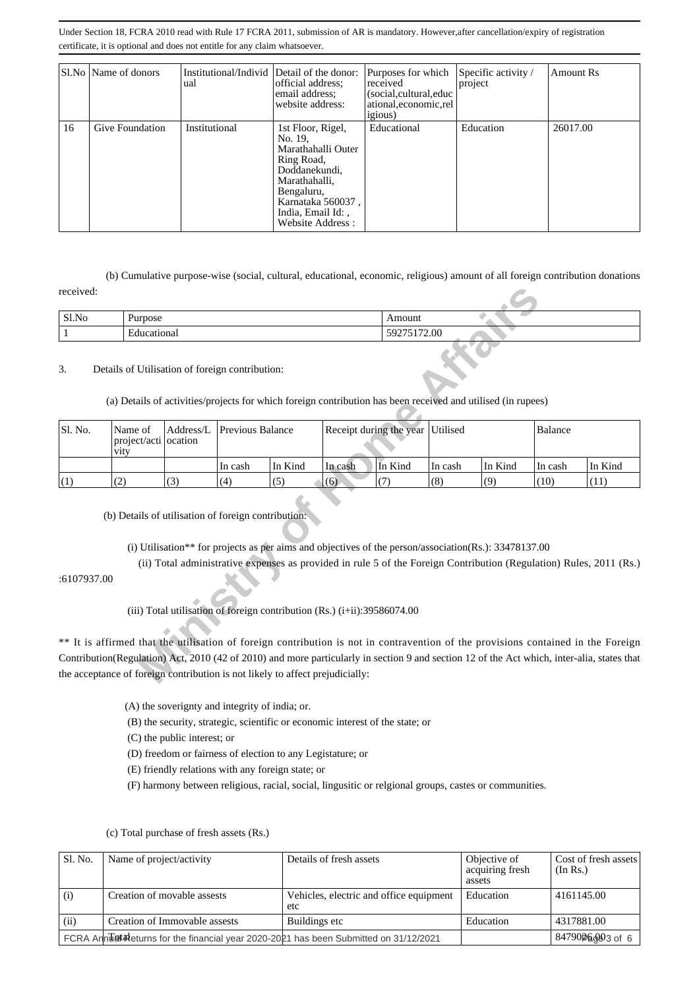|    | SLNo Name of donors | Institutional/Individ Detail of the donor:<br>ual | official address;<br>email address:<br>website address:                                                                                                                        | Purposes for which<br>received<br>(social, cultural, educ<br>ational, economic, rel<br><i>igious</i> ) | Specific activity /<br>project | Amount Rs |
|----|---------------------|---------------------------------------------------|--------------------------------------------------------------------------------------------------------------------------------------------------------------------------------|--------------------------------------------------------------------------------------------------------|--------------------------------|-----------|
| 16 | Give Foundation     | Institutional                                     | 1st Floor, Rigel,<br>No. 19.<br>Marathahalli Outer<br>Ring Road,<br>Doddanekundi.<br>Marathahalli,<br>Bengaluru,<br>Karnataka 560037,<br>India, Email Id:,<br>Website Address: | Educational                                                                                            | Education                      | 26017.00  |

 (b) Cumulative purpose-wise (social, cultural, educational, economic, religious) amount of all foreign contribution donations received:

| 01.37<br>SI.NO | -<br>Jurnose            | າດາມ                                          |
|----------------|-------------------------|-----------------------------------------------|
|                | $\blacksquare$<br>uona. | $\Omega$<br>72.UU<br>$\overline{\phantom{a}}$ |

## 3. Details of Utilisation of foreign contribution:

| received:    |                                                                                                                                                                 |           |                         |                                                                          |             |                                                                                                       |          |         |         |                                                                                                                                             |
|--------------|-----------------------------------------------------------------------------------------------------------------------------------------------------------------|-----------|-------------------------|--------------------------------------------------------------------------|-------------|-------------------------------------------------------------------------------------------------------|----------|---------|---------|---------------------------------------------------------------------------------------------------------------------------------------------|
| Sl.No        | Purpose                                                                                                                                                         |           |                         |                                                                          | Amount      |                                                                                                       |          |         |         |                                                                                                                                             |
| $\mathbf{1}$ | Educational                                                                                                                                                     |           |                         |                                                                          | 59275172.00 |                                                                                                       |          |         |         |                                                                                                                                             |
| 3.           | Details of Utilisation of foreign contribution:<br>(a) Details of activities/projects for which foreign contribution has been received and utilised (in rupees) |           |                         |                                                                          |             |                                                                                                       |          |         |         |                                                                                                                                             |
| Sl. No.      | Name of<br>project/acti ocation<br>vity                                                                                                                         | Address/L | <b>Previous Balance</b> |                                                                          |             | Receipt during the year                                                                               | Utilised |         |         |                                                                                                                                             |
|              |                                                                                                                                                                 |           | In cash                 | In Kind                                                                  | In cash     | In Kind                                                                                               | In cash  | In Kind | In cash | In Kind                                                                                                                                     |
| (1)          | (2)                                                                                                                                                             | (3)       | (4)                     | (5)                                                                      | (6)         | (7)                                                                                                   | (8)      | (9)     | (10)    | (11)                                                                                                                                        |
| :6107937.00  | (b) Details of utilisation of foreign contribution:                                                                                                             |           |                         |                                                                          |             | (i) Utilisation** for projects as per aims and objectives of the person/association(Rs.): 33478137.00 |          |         |         | (ii) Total administrative expenses as provided in rule 5 of the Foreign Contribution (Regulation) Rules, 2011 (Rs.)                         |
|              |                                                                                                                                                                 |           |                         | (iii) Total utilisation of foreign contribution (Rs.) (i+ii):39586074.00 |             |                                                                                                       |          |         |         | ** It is affirmed that the utilisation of foreign contribution is not in contravention of the provisions contained in the Foreign           |
|              | the acceptance of foreign contribution is not likely to affect prejudicially:                                                                                   |           |                         |                                                                          |             |                                                                                                       |          |         |         | Contribution(Regulation) Act, 2010 (42 of 2010) and more particularly in section 9 and section 12 of the Act which, inter-alia, states that |
|              |                                                                                                                                                                 |           |                         |                                                                          |             |                                                                                                       |          |         |         |                                                                                                                                             |

(A) the soverignty and integrity of india; or.

(B) the security, strategic, scientific or economic interest of the state; or

(C) the public interest; or

(D) freedom or fairness of election to any Legistature; or

(E) friendly relations with any foreign state; or

(F) harmony between religious, racial, social, lingusitic or relgional groups, castes or communities.

| Sl. No. | Name of project/activity                                                              | Details of fresh assets                        | Objective of<br>acquiring fresh<br>assets | Cost of fresh assets<br>(In Rs.) |
|---------|---------------------------------------------------------------------------------------|------------------------------------------------|-------------------------------------------|----------------------------------|
| (i)     | Creation of movable assests                                                           | Vehicles, electric and office equipment<br>etc | Education                                 | 4161145.00                       |
| (ii)    | Creation of Immovable assests                                                         | Buildings etc                                  | Education                                 | 4317881.00                       |
|         | FCRA Ann Latateurns for the financial year 2020-2021 has been Submitted on 31/12/2021 |                                                |                                           | 84790 <sup>p</sup> 6003 of 6     |

### (c) Total purchase of fresh assets (Rs.)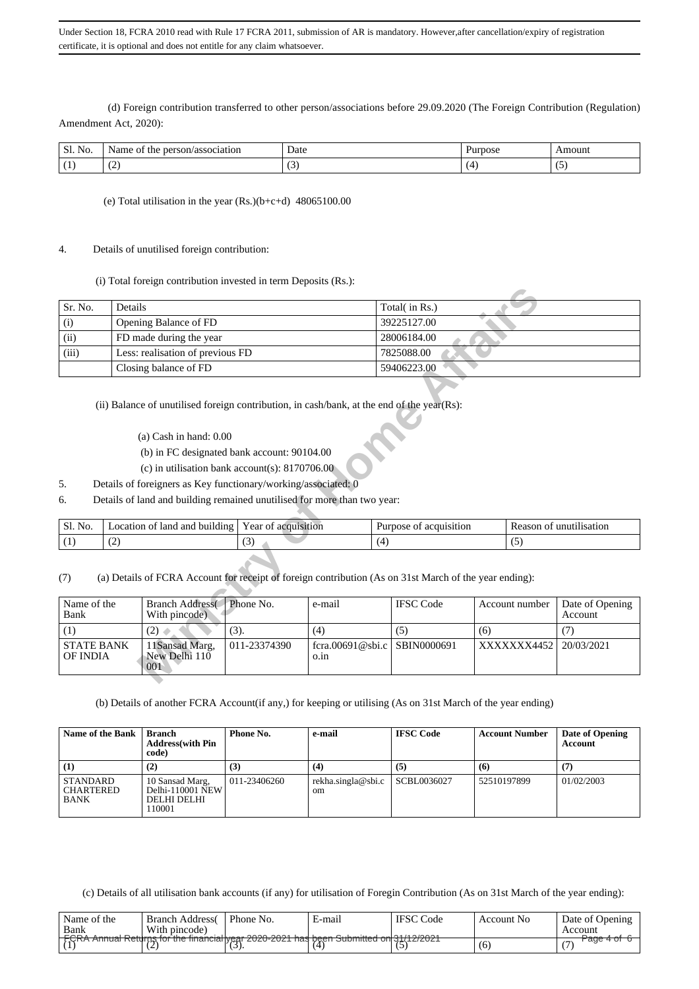(d) Foreign contribution transferred to other person/associations before 29.09.2020 (The Foreign Contribution (Regulation) Amendment Act, 2020):

| $\sim$ $\sim$<br>Sl.<br>No. | association<br>$\sim$ Name<br>'son<br>זר | Date<br>. | Purpose | .moun |
|-----------------------------|------------------------------------------|-----------|---------|-------|
|                             | $\sqrt{2}$<br>╰                          |           |         | . J   |

### (e) Total utilisation in the year (Rs.)(b+c+d) 48065100.00

#### 4. Details of unutilised foreign contribution:

(i) Total foreign contribution invested in term Deposits (Rs.):

| Sr. No.                                                                                                             | Details                                                                                                                                                                                                                                                                                                                                                                   |                     |     | Total(in Rs.)          |     |                |                            |  |  |  |  |
|---------------------------------------------------------------------------------------------------------------------|---------------------------------------------------------------------------------------------------------------------------------------------------------------------------------------------------------------------------------------------------------------------------------------------------------------------------------------------------------------------------|---------------------|-----|------------------------|-----|----------------|----------------------------|--|--|--|--|
| (i)                                                                                                                 | Opening Balance of FD                                                                                                                                                                                                                                                                                                                                                     |                     |     | 39225127.00            |     |                |                            |  |  |  |  |
| (ii)                                                                                                                | FD made during the year                                                                                                                                                                                                                                                                                                                                                   |                     |     | 28006184.00            |     |                |                            |  |  |  |  |
| (iii)                                                                                                               | Less: realisation of previous FD                                                                                                                                                                                                                                                                                                                                          |                     |     | 7825088.00             |     |                |                            |  |  |  |  |
|                                                                                                                     | Closing balance of FD                                                                                                                                                                                                                                                                                                                                                     |                     |     | 59406223.00            |     |                |                            |  |  |  |  |
| 5.<br>6.                                                                                                            | (ii) Balance of unutilised foreign contribution, in cash/bank, at the end of the year(Rs):<br>$(a)$ Cash in hand: $0.00$<br>(b) in FC designated bank account: 90104.00<br>(c) in utilisation bank account(s): $8170706.00$<br>Details of foreigners as Key functionary/working/associated: 0<br>Details of land and building remained unutilised for more than two year: |                     |     |                        |     |                |                            |  |  |  |  |
| Sl. No.                                                                                                             | Location of land and building                                                                                                                                                                                                                                                                                                                                             | Year of acquisition |     | Purpose of acquisition |     |                | Reason of unutilisation    |  |  |  |  |
| (1)                                                                                                                 | (2)                                                                                                                                                                                                                                                                                                                                                                       | (3)                 | (4) |                        |     | (5)            |                            |  |  |  |  |
| (7)                                                                                                                 | (a) Details of FCRA Account for receipt of foreign contribution (As on 31st March of the year ending):                                                                                                                                                                                                                                                                    |                     |     |                        |     |                |                            |  |  |  |  |
| Name of the<br>Phone No.<br><b>Branch Address</b><br>e-mail<br>Bank<br>With pincode)                                |                                                                                                                                                                                                                                                                                                                                                                           |                     |     | <b>IFSC Code</b>       |     | Account number | Date of Opening<br>Account |  |  |  |  |
| (3).<br>(4)<br>(1)<br>(2)                                                                                           |                                                                                                                                                                                                                                                                                                                                                                           |                     |     | (5)                    | (6) |                | (7)                        |  |  |  |  |
| <b>STATE BANK</b><br>11Sansad Marg,<br>011-23374390<br>fcra.00691@sbi.c<br>New Delhi 110<br>OF INDIA<br>o.in<br>001 |                                                                                                                                                                                                                                                                                                                                                                           |                     |     | SBIN0000691            |     | XXXXXXX4452    | 20/03/2021                 |  |  |  |  |

- (a) Cash in hand: 0.00
- (b) in FC designated bank account: 90104.00
- (c) in utilisation bank account(s): 8170706.00
- 5. Details of foreigners as Key functionary/working/associated: 0
- 6. Details of land and building remained unutilised for more than two year:

| $\sim$ $\sim$<br>N <sub>O</sub><br>21. | <br>-lanc<br>anc<br>ocation<br>ıldıng<br>. bur'<br>- OT | $\mathbf{r}$<br>ear<br>acquisition<br>- OT | Purpose<br>acquisition<br>ОŤ | $\sim$<br>Reason<br>unutilisation<br>ΩŤ |
|----------------------------------------|---------------------------------------------------------|--------------------------------------------|------------------------------|-----------------------------------------|
|                                        | $\sqrt{2}$<br>᠂                                         | $\sim$<br>$\sim$                           |                              | . .                                     |

| Name of the<br>Bank           | <b>Branch Address</b><br>With pincode) | Phone No.    | e-mail                               | <b>IFSC</b> Code | Account number        | Date of Opening<br><b>Account</b> |
|-------------------------------|----------------------------------------|--------------|--------------------------------------|------------------|-----------------------|-----------------------------------|
|                               | (2)                                    | (3).         | (4)                                  | ( ن              | (6)                   |                                   |
| <b>STATE BANK</b><br>OF INDIA | 11Sansad Marg.<br>New Delhi 110<br>001 | 011-23374390 | fcra.00691@sbi.c SBIN0000691<br>0.1n |                  | XXXXXX4452 20/03/2021 |                                   |

(b) Details of another FCRA Account(if any,) for keeping or utilising (As on 31st March of the year ending)

| Name of the Bank                            | Branch<br><b>Address</b> (with Pin<br>code)                  | Phone No.    | e-mail                              | <b>IFSC Code</b> | <b>Account Number</b> | Date of Opening<br>Account |
|---------------------------------------------|--------------------------------------------------------------|--------------|-------------------------------------|------------------|-----------------------|----------------------------|
| (1)                                         | (2)                                                          | (3)          | (4)                                 | (5)              | (6)                   | (7)                        |
| STANDARD<br><b>CHARTERED</b><br><b>BANK</b> | 10 Sansad Marg,<br>Delhi-110001 NEW<br>DELHI DELHI<br>110001 | 011-23406260 | rekha.singla@sbi.c<br><sub>om</sub> | SCBL0036027      | 52510197899           | 01/02/2003                 |

 <sup>(</sup>c) Details of all utilisation bank accounts (if any) for utilisation of Foregin Contribution (As on 31st March of the year ending):

| Name of the  | Branch Address(                                  | Phone No.  | E-mail                                                | <b>IFSC</b> Code | Account No. | Date of Opening     |
|--------------|--------------------------------------------------|------------|-------------------------------------------------------|------------------|-------------|---------------------|
| Bank<br>FOPA | With pincode)                                    | 0.00000011 |                                                       | AA/ADOOA         |             | Account             |
|              | <b>FURA ANNUAL REQUIS TOF THE INTERNATIVE AT</b> |            | <u>ZUZU-ZUZ ETIJAS DEEIT SUDITIITIEU UITS IZTZUZT</u> |                  | (б          | aue <del>4</del> or |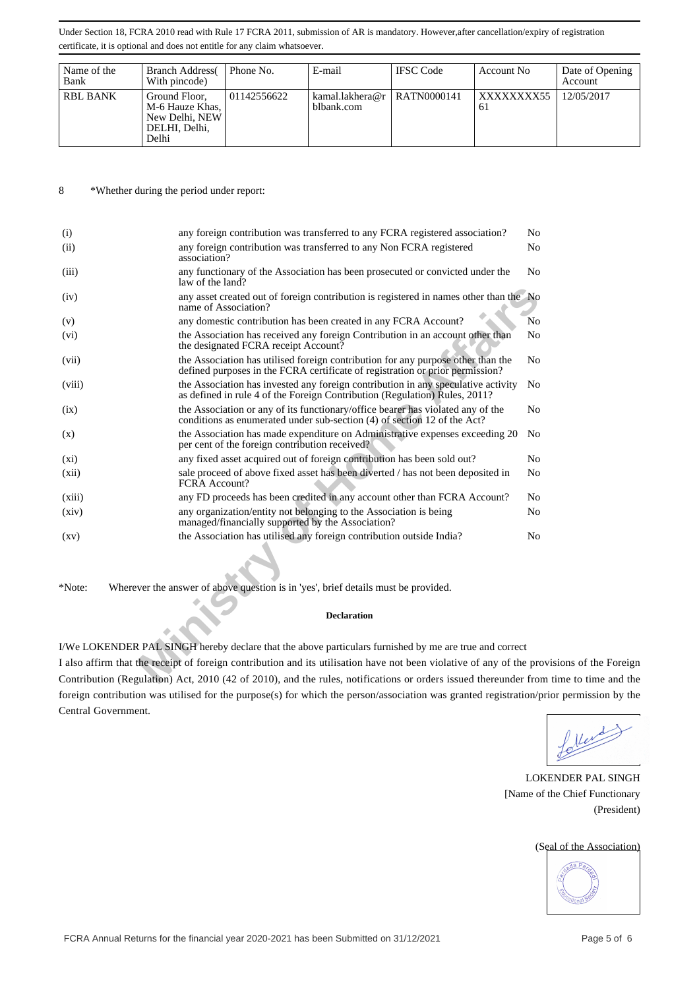| Name of the<br>Bank | <b>Branch Address</b><br>With pincode)                                       | Phone No.   | E-mail                                      | <b>IFSC</b> Code | Account No        | Date of Opening<br>Account |
|---------------------|------------------------------------------------------------------------------|-------------|---------------------------------------------|------------------|-------------------|----------------------------|
| <b>RBL BANK</b>     | Ground Floor,<br>M-6 Hauze Khas,<br>New Delhi, NEW<br>DELHI, Delhi,<br>Delhi | 01142556622 | kamal.lakhera@r   RATN0000141<br>blbank.com |                  | XXXXXXXX55<br>-61 | 12/05/2017                 |

8 \*Whether during the period under report:

| (i)                | any foreign contribution was transferred to any FCRA registered association?                                                                                      | No             |
|--------------------|-------------------------------------------------------------------------------------------------------------------------------------------------------------------|----------------|
| (ii)               | any foreign contribution was transferred to any Non FCRA registered<br>association?                                                                               | N <sub>0</sub> |
| (iii)              | any functionary of the Association has been prosecuted or convicted under the<br>law of the land?                                                                 | N <sub>0</sub> |
| (iv)               | any asset created out of foreign contribution is registered in names other than the No<br>name of Association?                                                    |                |
| (v)                | any domestic contribution has been created in any FCRA Account?                                                                                                   | No             |
| (vi)               | the Association has received any foreign Contribution in an account other than<br>the designated FCRA receipt Account?                                            | No             |
| (vii)              | the Association has utilised foreign contribution for any purpose other than the<br>defined purposes in the FCRA certificate of registration or prior permission? | No             |
| (viii)             | the Association has invested any foreign contribution in any speculative activity<br>as defined in rule 4 of the Foreign Contribution (Regulation) Rules, 2011?   | N <sub>0</sub> |
| (ix)               | the Association or any of its functionary/office bearer has violated any of the<br>conditions as enumerated under sub-section (4) of section 12 of the Act?       | No             |
| (x)                | the Association has made expenditure on Administrative expenses exceeding 20<br>per cent of the foreign contribution received?                                    | No             |
| $(x_i)$            | any fixed asset acquired out of foreign contribution has been sold out?                                                                                           | N <sub>0</sub> |
| (xii)              | sale proceed of above fixed asset has been diverted / has not been deposited in<br>FCRA Account?                                                                  | No             |
| (xiii)             | any FD proceeds has been credited in any account other than FCRA Account?                                                                                         | No             |
| (xiv)              | any organization/entity not belonging to the Association is being<br>managed/financially supported by the Association?                                            | No             |
| $\left( xy\right)$ | the Association has utilised any foreign contribution outside India?                                                                                              | N <sub>0</sub> |
|                    |                                                                                                                                                                   |                |
| *Note:             | Wherever the answer of above question is in 'yes', brief details must be provided.                                                                                |                |
|                    | <b>Declaration</b>                                                                                                                                                |                |
|                    |                                                                                                                                                                   |                |
|                    | I/We LOKENDER PAL SINGH hereby declare that the above particulars furnished by me are true and correct                                                            |                |
|                    | I also affirm that the receipt of foreign contribution and its utilisation have not been violative of any of the prov                                             |                |
|                    | Contribution (Regulation) Act, 2010 (42 of 2010), and the rules, notifications or orders issued thereunder from                                                   |                |

#### **Declaration**

I also affirm that the receipt of foreign contribution and its utilisation have not been violative of any of the provisions of the Foreign Contribution (Regulation) Act, 2010 (42 of 2010), and the rules, notifications or orders issued thereunder from time to time and the foreign contribution was utilised for the purpose(s) for which the person/association was granted registration/prior permission by the Central Government.

foller de )

LOKENDER PAL SINGH [Name of the Chief Functionary (President)

#### (Seal of the Association)